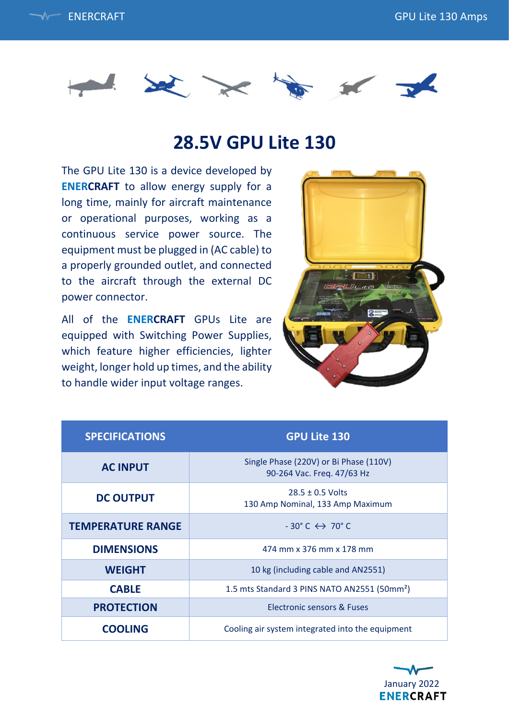



## **28.5V GPU Lite 130**

The GPU Lite 130 is a device developed by **ENERCRAFT** to allow energy supply for a long time, mainly for aircraft maintenance or operational purposes, working as a continuous service power source. The equipment must be plugged in (AC cable) to a properly grounded outlet, and connected to the aircraft through the external DC power connector.

All of the **ENERCRAFT** GPUs Lite are equipped with Switching Power Supplies, which feature higher efficiencies, lighter weight, longer hold up times, and the ability to handle wider input voltage ranges.



| <b>SPECIFICATIONS</b>    | <b>GPU Lite 130</b>                                                  |
|--------------------------|----------------------------------------------------------------------|
| <b>AC INPUT</b>          | Single Phase (220V) or Bi Phase (110V)<br>90-264 Vac. Freq. 47/63 Hz |
| <b>DC OUTPUT</b>         | $28.5 \pm 0.5$ Volts<br>130 Amp Nominal, 133 Amp Maximum             |
| <b>TEMPERATURE RANGE</b> | $-30^{\circ}$ C $\leftrightarrow$ 70 $^{\circ}$ C                    |
| <b>DIMENSIONS</b>        | 474 mm x 376 mm x 178 mm                                             |
| <b>WEIGHT</b>            | 10 kg (including cable and AN2551)                                   |
| <b>CABLE</b>             | 1.5 mts Standard 3 PINS NATO AN2551 (50mm <sup>2</sup> )             |
| <b>PROTECTION</b>        | Electronic sensors & Fuses                                           |
| <b>COOLING</b>           | Cooling air system integrated into the equipment                     |